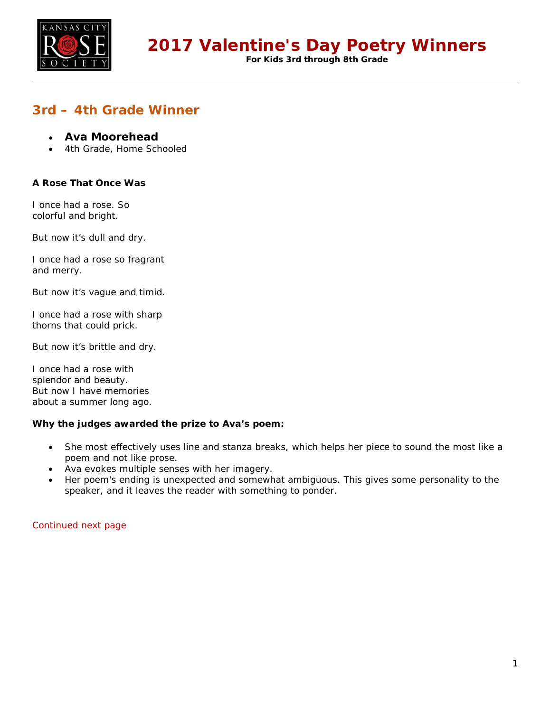

**For Kids 3rd through 8th Grade**

## **3rd – 4th Grade Winner**

- **Ava Moorehead**
- 4th Grade, Home Schooled

### **A Rose That Once Was**

I once had a rose. So colorful and bright.

But now it's dull and dry.

I once had a rose so fragrant and merry.

But now it's vague and timid.

I once had a rose with sharp thorns that could prick.

But now it's brittle and dry.

I once had a rose with splendor and beauty. But now I have memories about a summer long ago.

### **Why the judges awarded the prize to Ava's poem:**

- She most effectively uses line and stanza breaks, which helps her piece to sound the most like a poem and not like prose.
- Ava evokes multiple senses with her imagery.
- Her poem's ending is unexpected and somewhat ambiguous. This gives some personality to the speaker, and it leaves the reader with something to ponder.

Continued next page